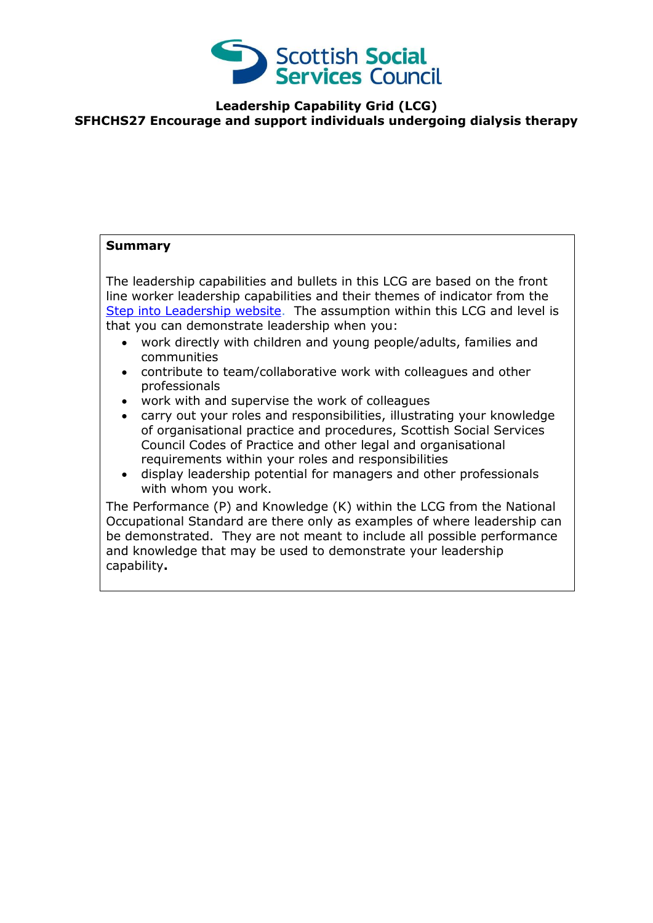

## **Leadership Capability Grid (LCG) SFHCHS27 Encourage and support individuals undergoing dialysis therapy**

## **Summary**

The leadership capabilities and bullets in this LCG are based on the front line worker leadership capabilities and their themes of indicator from the [Step into Leadership website.](http://www.stepintoleadership.info/) The assumption within this LCG and level is that you can demonstrate leadership when you:

- work directly with children and young people/adults, families and communities
- contribute to team/collaborative work with colleagues and other professionals
- work with and supervise the work of colleagues
- carry out your roles and responsibilities, illustrating your knowledge of organisational practice and procedures, Scottish Social Services Council Codes of Practice and other legal and organisational requirements within your roles and responsibilities
- display leadership potential for managers and other professionals with whom you work.

The Performance (P) and Knowledge (K) within the LCG from the National Occupational Standard are there only as examples of where leadership can be demonstrated. They are not meant to include all possible performance and knowledge that may be used to demonstrate your leadership capability**.**